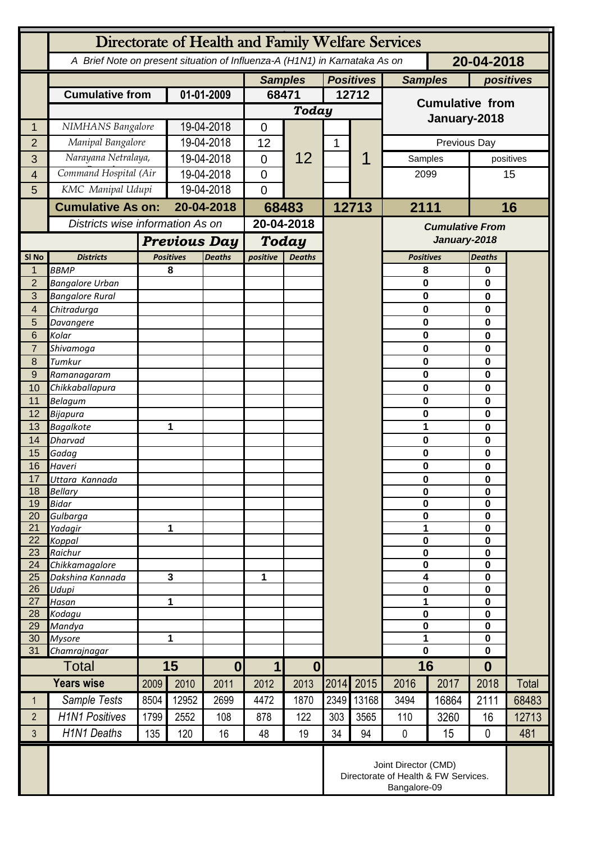|                                | Directorate of Health and Family Welfare Services |              |                                                                                          |                  |                       |               |                  |       |                        |             |                  |           |  |
|--------------------------------|---------------------------------------------------|--------------|------------------------------------------------------------------------------------------|------------------|-----------------------|---------------|------------------|-------|------------------------|-------------|------------------|-----------|--|
|                                |                                                   |              | A Brief Note on present situation of Influenza-A (H1N1) in Karnataka As on<br>20-04-2018 |                  |                       |               |                  |       |                        |             |                  |           |  |
|                                |                                                   |              |                                                                                          |                  | <b>Samples</b>        |               | <b>Positives</b> |       | <b>Samples</b>         |             | positives        |           |  |
|                                | <b>Cumulative from</b>                            | 01-01-2009   |                                                                                          | 68471            |                       | 12712         |                  |       |                        |             |                  |           |  |
|                                |                                                   |              |                                                                                          |                  |                       | Today         |                  |       | <b>Cumulative from</b> |             |                  |           |  |
| 1                              | NIMHANS Bangalore                                 |              | 19-04-2018                                                                               |                  | $\mathbf 0$           |               |                  |       | January-2018           |             |                  |           |  |
| $\overline{2}$                 | Manipal Bangalore                                 |              | 19-04-2018                                                                               |                  | 12                    |               | 1                |       | Previous Day           |             |                  |           |  |
| 3                              | Narayana Netralaya,                               |              | 19-04-2018                                                                               |                  | $\overline{0}$        | 12            |                  | 1     |                        | Samples     |                  | positives |  |
| $\overline{4}$                 | Command Hospital (Air                             |              | 19-04-2018                                                                               |                  | $\Omega$              |               |                  |       | 2099                   |             |                  | 15        |  |
| 5                              | KMC Manipal Udupi                                 |              | 19-04-2018                                                                               |                  | $\overline{0}$        |               |                  |       |                        |             |                  |           |  |
|                                | <b>Cumulative As on:</b>                          |              | 20-04-2018                                                                               |                  |                       |               | 12713            |       | 2111                   |             |                  | 16        |  |
|                                |                                                   |              |                                                                                          |                  | 68483<br>20-04-2018   |               |                  |       |                        |             |                  |           |  |
|                                | Districts wise information As on                  |              |                                                                                          |                  |                       |               |                  |       | <b>Cumulative From</b> |             |                  |           |  |
|                                |                                                   |              | <b>Previous Day</b>                                                                      |                  | <b>Today</b>          |               |                  |       | January-2018           |             |                  |           |  |
| SI <sub>No</sub>               | <b>Districts</b>                                  |              | <b>Positives</b>                                                                         | <b>Deaths</b>    | positive              | <b>Deaths</b> |                  |       | <b>Positives</b>       |             | <b>Deaths</b>    |           |  |
| $\mathbf{1}$<br>$\overline{2}$ | <b>BBMP</b><br><b>Bangalore Urban</b>             |              | 8                                                                                        |                  |                       |               |                  |       | 8<br>0                 |             | 0<br>0           |           |  |
| 3                              | <b>Bangalore Rural</b>                            |              |                                                                                          |                  |                       |               |                  |       | $\mathbf 0$            |             | 0                |           |  |
| $\overline{\mathbf{4}}$        | Chitradurga                                       |              |                                                                                          |                  |                       |               |                  |       | 0                      |             | 0                |           |  |
| 5                              | Davangere                                         |              |                                                                                          |                  |                       |               |                  |       | 0                      |             | 0                |           |  |
| 6                              | Kolar                                             |              |                                                                                          |                  |                       |               |                  |       | 0                      |             | 0                |           |  |
| $\overline{7}$                 | Shivamoga                                         |              |                                                                                          |                  |                       |               |                  |       | $\bf{0}$               |             | 0                |           |  |
| 8                              | Tumkur                                            |              |                                                                                          |                  |                       |               |                  |       | 0                      |             | 0                |           |  |
| $\overline{9}$                 | Ramanagaram                                       |              |                                                                                          |                  |                       |               |                  |       | 0                      |             | 0                |           |  |
| 10<br>11                       | Chikkaballapura<br><b>Belagum</b>                 |              |                                                                                          |                  |                       |               |                  |       | 0<br>$\bf{0}$          |             | 0<br>0           |           |  |
| 12                             | Bijapura                                          |              |                                                                                          |                  |                       |               |                  |       | 0                      |             | 0                |           |  |
| 13                             | <b>Bagalkote</b>                                  |              | 1                                                                                        |                  |                       |               |                  |       | 1                      |             | 0                |           |  |
| 14                             | <b>Dharvad</b>                                    |              |                                                                                          |                  |                       |               |                  |       |                        | $\mathbf 0$ |                  |           |  |
| 15                             | Gadag                                             |              |                                                                                          |                  |                       |               |                  |       | 0                      |             | 0                |           |  |
| 16                             | Haveri                                            |              |                                                                                          |                  |                       |               |                  |       | 0                      |             | 0                |           |  |
| 17                             | Uttara Kannada                                    |              |                                                                                          |                  |                       |               |                  |       | 0                      |             | 0                |           |  |
| 18<br>19                       | <b>Bellary</b><br><b>Bidar</b>                    |              |                                                                                          |                  |                       |               |                  |       | $\bf{0}$<br>$\bf{0}$   |             | 0<br>0           |           |  |
| 20                             | Gulbarga                                          |              |                                                                                          |                  |                       |               |                  |       | $\bf{0}$               |             | 0                |           |  |
| 21                             | Yadagir                                           |              | 1                                                                                        |                  |                       |               |                  |       |                        | 1           |                  |           |  |
| $\overline{22}$                | Koppal                                            |              |                                                                                          |                  |                       |               |                  |       | $\bf{0}$               |             | 0                |           |  |
| 23                             | Raichur                                           |              |                                                                                          |                  |                       |               |                  |       | $\bf{0}$               |             | 0                |           |  |
| 24<br>25                       | Chikkamagalore<br>Dakshina Kannada                | 3            |                                                                                          |                  | 1                     |               |                  |       | $\bf{0}$<br>4          |             | $\mathbf 0$<br>0 |           |  |
| 26                             | Udupi                                             |              |                                                                                          |                  |                       |               |                  |       | 0                      |             | 0                |           |  |
| 27                             | Hasan                                             |              | 1                                                                                        |                  |                       |               |                  |       | 1                      |             | 0                |           |  |
| 28                             | Kodagu                                            |              |                                                                                          |                  |                       |               |                  |       | $\bf{0}$               |             | 0                |           |  |
| 29                             | Mandya                                            | $\mathbf{1}$ |                                                                                          |                  |                       |               |                  |       | $\bf{0}$<br>1          |             | 0                |           |  |
| 30<br>31                       | <b>Mysore</b><br>Chamrajnagar                     |              |                                                                                          |                  |                       |               |                  |       | $\mathbf 0$            |             | 0<br>$\mathbf 0$ |           |  |
|                                | <b>Total</b>                                      |              | 15                                                                                       |                  | 1<br>$\boldsymbol{0}$ |               |                  |       | 16                     |             | $\bf{0}$         |           |  |
|                                | <b>Years wise</b>                                 |              | 2010                                                                                     | $\boldsymbol{0}$ |                       | 2013          | 2014             | 2015  | 2016                   | 2017        | 2018             | Total     |  |
|                                |                                                   | 2009         |                                                                                          | 2011             | 2012                  |               |                  |       |                        |             |                  |           |  |
| $\mathbf{1}$                   | Sample Tests                                      | 8504         | 12952                                                                                    | 2699             | 4472                  | 1870          | 2349             | 13168 | 3494                   | 16864       | 2111             | 68483     |  |
| $\overline{2}$                 | <b>H1N1 Positives</b>                             | 1799         | 2552                                                                                     | 108              | 878                   | 122           | 303              | 3565  | 110                    | 3260        | 16               | 12713     |  |
| 3                              | <b>H1N1 Deaths</b>                                | 135          | 120                                                                                      | 16               | 48                    | 19            | 34               | 94    | 0                      | 15          | 0                | 481       |  |
|                                |                                                   |              | Joint Director (CMD)<br>Directorate of Health & FW Services.<br>Bangalore-09             |                  |                       |               |                  |       |                        |             |                  |           |  |